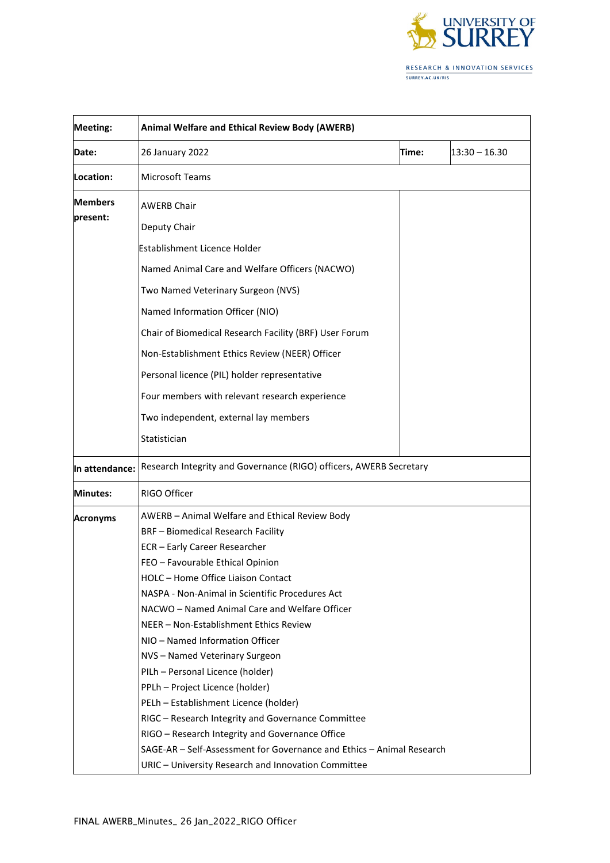

| <b>Meeting:</b> | Animal Welfare and Ethical Review Body (AWERB)                        |       |                 |
|-----------------|-----------------------------------------------------------------------|-------|-----------------|
| Date:           | 26 January 2022                                                       | Time: | $13:30 - 16.30$ |
| Location:       | <b>Microsoft Teams</b>                                                |       |                 |
| <b>Members</b>  | <b>AWERB Chair</b>                                                    |       |                 |
| present:        | Deputy Chair                                                          |       |                 |
|                 | Establishment Licence Holder                                          |       |                 |
|                 | Named Animal Care and Welfare Officers (NACWO)                        |       |                 |
|                 | Two Named Veterinary Surgeon (NVS)                                    |       |                 |
|                 | Named Information Officer (NIO)                                       |       |                 |
|                 | Chair of Biomedical Research Facility (BRF) User Forum                |       |                 |
|                 | Non-Establishment Ethics Review (NEER) Officer                        |       |                 |
|                 | Personal licence (PIL) holder representative                          |       |                 |
|                 | Four members with relevant research experience                        |       |                 |
|                 | Two independent, external lay members                                 |       |                 |
|                 | Statistician                                                          |       |                 |
| In attendance:  | Research Integrity and Governance (RIGO) officers, AWERB Secretary    |       |                 |
| Minutes:        | RIGO Officer                                                          |       |                 |
| <b>Acronyms</b> | AWERB - Animal Welfare and Ethical Review Body                        |       |                 |
|                 | <b>BRF</b> - Biomedical Research Facility                             |       |                 |
|                 | ECR - Early Career Researcher                                         |       |                 |
|                 | FEO - Favourable Ethical Opinion                                      |       |                 |
|                 | HOLC - Home Office Liaison Contact                                    |       |                 |
|                 | NASPA - Non-Animal in Scientific Procedures Act                       |       |                 |
|                 | NACWO - Named Animal Care and Welfare Officer                         |       |                 |
|                 | NEER - Non-Establishment Ethics Review                                |       |                 |
|                 | NIO - Named Information Officer                                       |       |                 |
|                 | NVS-Named Veterinary Surgeon                                          |       |                 |
|                 | PILh - Personal Licence (holder)<br>PPLh - Project Licence (holder)   |       |                 |
|                 | PELh - Establishment Licence (holder)                                 |       |                 |
|                 | RIGC - Research Integrity and Governance Committee                    |       |                 |
|                 | RIGO - Research Integrity and Governance Office                       |       |                 |
|                 | SAGE-AR - Self-Assessment for Governance and Ethics - Animal Research |       |                 |
|                 | URIC - University Research and Innovation Committee                   |       |                 |
|                 |                                                                       |       |                 |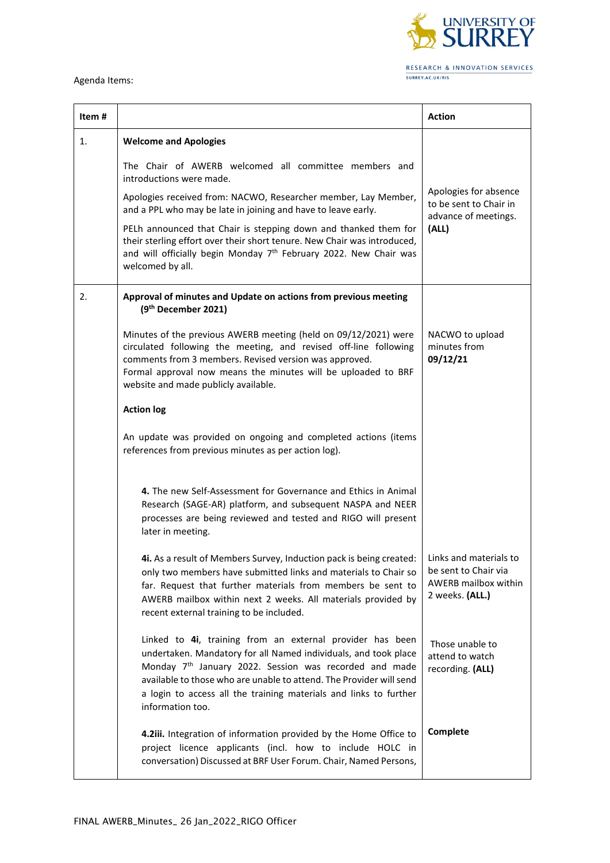

## Agenda Items:

| Item# |                                                                                                                                                                                                                                                                                                                                                                    | <b>Action</b>                                                                                    |
|-------|--------------------------------------------------------------------------------------------------------------------------------------------------------------------------------------------------------------------------------------------------------------------------------------------------------------------------------------------------------------------|--------------------------------------------------------------------------------------------------|
| 1.    | <b>Welcome and Apologies</b>                                                                                                                                                                                                                                                                                                                                       |                                                                                                  |
|       | The Chair of AWERB welcomed all committee members and<br>introductions were made.                                                                                                                                                                                                                                                                                  |                                                                                                  |
|       | Apologies received from: NACWO, Researcher member, Lay Member,<br>and a PPL who may be late in joining and have to leave early.                                                                                                                                                                                                                                    | Apologies for absence<br>to be sent to Chair in<br>advance of meetings.<br>(ALL)                 |
|       | PELh announced that Chair is stepping down and thanked them for<br>their sterling effort over their short tenure. New Chair was introduced,<br>and will officially begin Monday 7 <sup>th</sup> February 2022. New Chair was<br>welcomed by all.                                                                                                                   |                                                                                                  |
| 2.    | Approval of minutes and Update on actions from previous meeting<br>(9 <sup>th</sup> December 2021)                                                                                                                                                                                                                                                                 |                                                                                                  |
|       | Minutes of the previous AWERB meeting (held on 09/12/2021) were<br>circulated following the meeting, and revised off-line following<br>comments from 3 members. Revised version was approved.<br>Formal approval now means the minutes will be uploaded to BRF<br>website and made publicly available.                                                             | NACWO to upload<br>minutes from<br>09/12/21                                                      |
|       | <b>Action log</b>                                                                                                                                                                                                                                                                                                                                                  |                                                                                                  |
|       | An update was provided on ongoing and completed actions (items<br>references from previous minutes as per action log).                                                                                                                                                                                                                                             |                                                                                                  |
|       | 4. The new Self-Assessment for Governance and Ethics in Animal<br>Research (SAGE-AR) platform, and subsequent NASPA and NEER<br>processes are being reviewed and tested and RIGO will present<br>later in meeting.                                                                                                                                                 |                                                                                                  |
|       | 4i. As a result of Members Survey, Induction pack is being created:<br>only two members have submitted links and materials to Chair so<br>far. Request that further materials from members be sent to<br>AWERB mailbox within next 2 weeks. All materials provided by<br>recent external training to be included.                                                  | Links and materials to<br>be sent to Chair via<br><b>AWERB mailbox within</b><br>2 weeks. (ALL.) |
|       | Linked to 4i, training from an external provider has been<br>undertaken. Mandatory for all Named individuals, and took place<br>Monday 7 <sup>th</sup> January 2022. Session was recorded and made<br>available to those who are unable to attend. The Provider will send<br>a login to access all the training materials and links to further<br>information too. | Those unable to<br>attend to watch<br>recording. (ALL)                                           |
|       | 4.2iii. Integration of information provided by the Home Office to<br>project licence applicants (incl. how to include HOLC in<br>conversation) Discussed at BRF User Forum. Chair, Named Persons,                                                                                                                                                                  | Complete                                                                                         |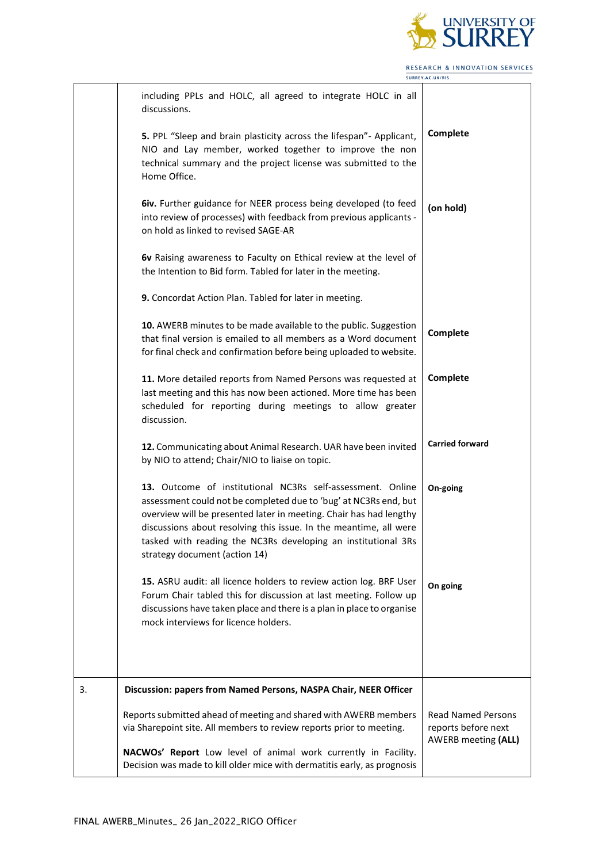

RESEARCH & INNOVATION SERVICES SURREY.AC.UK/RIS  $\overline{\phantom{0}}$ 

|    | including PPLs and HOLC, all agreed to integrate HOLC in all<br>discussions.                                                                                                                                                                                                                                                                                                |                                                                         |
|----|-----------------------------------------------------------------------------------------------------------------------------------------------------------------------------------------------------------------------------------------------------------------------------------------------------------------------------------------------------------------------------|-------------------------------------------------------------------------|
|    | 5. PPL "Sleep and brain plasticity across the lifespan"- Applicant,<br>NIO and Lay member, worked together to improve the non<br>technical summary and the project license was submitted to the<br>Home Office.                                                                                                                                                             | Complete                                                                |
|    | <b>6iv.</b> Further guidance for NEER process being developed (to feed<br>into review of processes) with feedback from previous applicants -<br>on hold as linked to revised SAGE-AR                                                                                                                                                                                        | (on hold)                                                               |
|    | 6v Raising awareness to Faculty on Ethical review at the level of<br>the Intention to Bid form. Tabled for later in the meeting.                                                                                                                                                                                                                                            |                                                                         |
|    | 9. Concordat Action Plan. Tabled for later in meeting.                                                                                                                                                                                                                                                                                                                      |                                                                         |
|    | 10. AWERB minutes to be made available to the public. Suggestion<br>that final version is emailed to all members as a Word document<br>for final check and confirmation before being uploaded to website.                                                                                                                                                                   | Complete                                                                |
|    | 11. More detailed reports from Named Persons was requested at<br>last meeting and this has now been actioned. More time has been<br>scheduled for reporting during meetings to allow greater<br>discussion.                                                                                                                                                                 | Complete                                                                |
|    | 12. Communicating about Animal Research. UAR have been invited<br>by NIO to attend; Chair/NIO to liaise on topic.                                                                                                                                                                                                                                                           | <b>Carried forward</b>                                                  |
|    | 13. Outcome of institutional NC3Rs self-assessment. Online<br>assessment could not be completed due to 'bug' at NC3Rs end, but<br>overview will be presented later in meeting. Chair has had lengthy<br>discussions about resolving this issue. In the meantime, all were<br>tasked with reading the NC3Rs developing an institutional 3Rs<br>strategy document (action 14) | On-going                                                                |
|    | 15. ASRU audit: all licence holders to review action log. BRF User<br>Forum Chair tabled this for discussion at last meeting. Follow up<br>discussions have taken place and there is a plan in place to organise<br>mock interviews for licence holders.                                                                                                                    | On going                                                                |
| 3. | Discussion: papers from Named Persons, NASPA Chair, NEER Officer                                                                                                                                                                                                                                                                                                            |                                                                         |
|    | Reports submitted ahead of meeting and shared with AWERB members<br>via Sharepoint site. All members to review reports prior to meeting.<br>NACWOs' Report Low level of animal work currently in Facility.<br>Decision was made to kill older mice with dermatitis early, as prognosis                                                                                      | <b>Read Named Persons</b><br>reports before next<br>AWERB meeting (ALL) |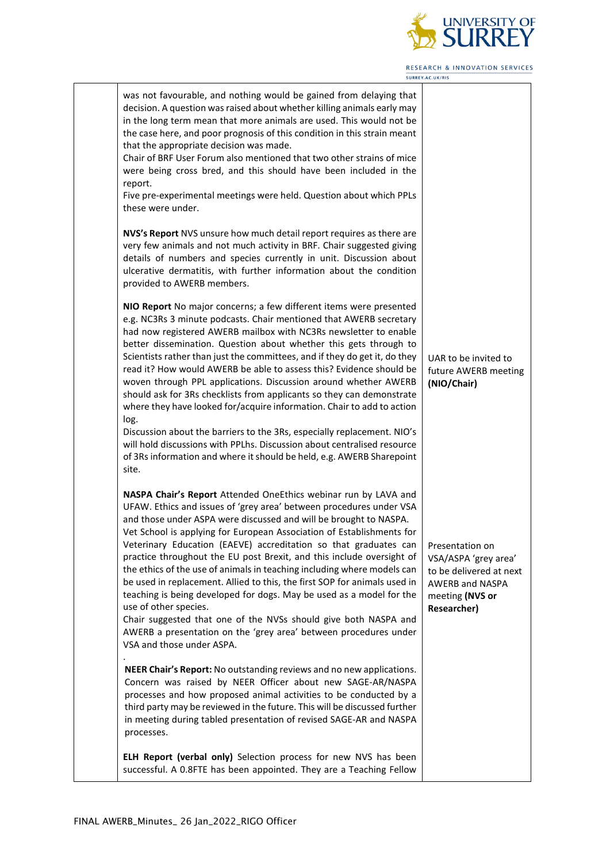

| was not favourable, and nothing would be gained from delaying that<br>decision. A question was raised about whether killing animals early may<br>in the long term mean that more animals are used. This would not be<br>the case here, and poor prognosis of this condition in this strain meant<br>that the appropriate decision was made.<br>Chair of BRF User Forum also mentioned that two other strains of mice<br>were being cross bred, and this should have been included in the<br>report.<br>Five pre-experimental meetings were held. Question about which PPLs<br>these were under.                                                                                                                                                                                                                                                                                                              |                                                                                                             |
|--------------------------------------------------------------------------------------------------------------------------------------------------------------------------------------------------------------------------------------------------------------------------------------------------------------------------------------------------------------------------------------------------------------------------------------------------------------------------------------------------------------------------------------------------------------------------------------------------------------------------------------------------------------------------------------------------------------------------------------------------------------------------------------------------------------------------------------------------------------------------------------------------------------|-------------------------------------------------------------------------------------------------------------|
| NVS's Report NVS unsure how much detail report requires as there are<br>very few animals and not much activity in BRF. Chair suggested giving<br>details of numbers and species currently in unit. Discussion about<br>ulcerative dermatitis, with further information about the condition<br>provided to AWERB members.                                                                                                                                                                                                                                                                                                                                                                                                                                                                                                                                                                                     |                                                                                                             |
| NIO Report No major concerns; a few different items were presented<br>e.g. NC3Rs 3 minute podcasts. Chair mentioned that AWERB secretary<br>had now registered AWERB mailbox with NC3Rs newsletter to enable<br>better dissemination. Question about whether this gets through to<br>Scientists rather than just the committees, and if they do get it, do they<br>read it? How would AWERB be able to assess this? Evidence should be<br>woven through PPL applications. Discussion around whether AWERB<br>should ask for 3Rs checklists from applicants so they can demonstrate<br>where they have looked for/acquire information. Chair to add to action<br>log.<br>Discussion about the barriers to the 3Rs, especially replacement. NIO's<br>will hold discussions with PPLhs. Discussion about centralised resource<br>of 3Rs information and where it should be held, e.g. AWERB Sharepoint<br>site. | UAR to be invited to<br>future AWERB meeting<br>(NIO/Chair)                                                 |
| NASPA Chair's Report Attended OneEthics webinar run by LAVA and<br>UFAW. Ethics and issues of 'grey area' between procedures under VSA<br>and those under ASPA were discussed and will be brought to NASPA.<br>Vet School is applying for European Association of Establishments for<br>Veterinary Education (EAEVE) accreditation so that graduates can   Presentation on<br>practice throughout the EU post Brexit, and this include oversight of<br>the ethics of the use of animals in teaching including where models can<br>be used in replacement. Allied to this, the first SOP for animals used in<br>teaching is being developed for dogs. May be used as a model for the<br>use of other species.<br>Chair suggested that one of the NVSs should give both NASPA and<br>AWERB a presentation on the 'grey area' between procedures under<br>VSA and those under ASPA.                             | VSA/ASPA 'grey area'<br>to be delivered at next<br><b>AWERB and NASPA</b><br>meeting (NVS or<br>Researcher) |
| NEER Chair's Report: No outstanding reviews and no new applications.<br>Concern was raised by NEER Officer about new SAGE-AR/NASPA<br>processes and how proposed animal activities to be conducted by a<br>third party may be reviewed in the future. This will be discussed further<br>in meeting during tabled presentation of revised SAGE-AR and NASPA<br>processes.                                                                                                                                                                                                                                                                                                                                                                                                                                                                                                                                     |                                                                                                             |
| ELH Report (verbal only) Selection process for new NVS has been<br>successful. A 0.8FTE has been appointed. They are a Teaching Fellow                                                                                                                                                                                                                                                                                                                                                                                                                                                                                                                                                                                                                                                                                                                                                                       |                                                                                                             |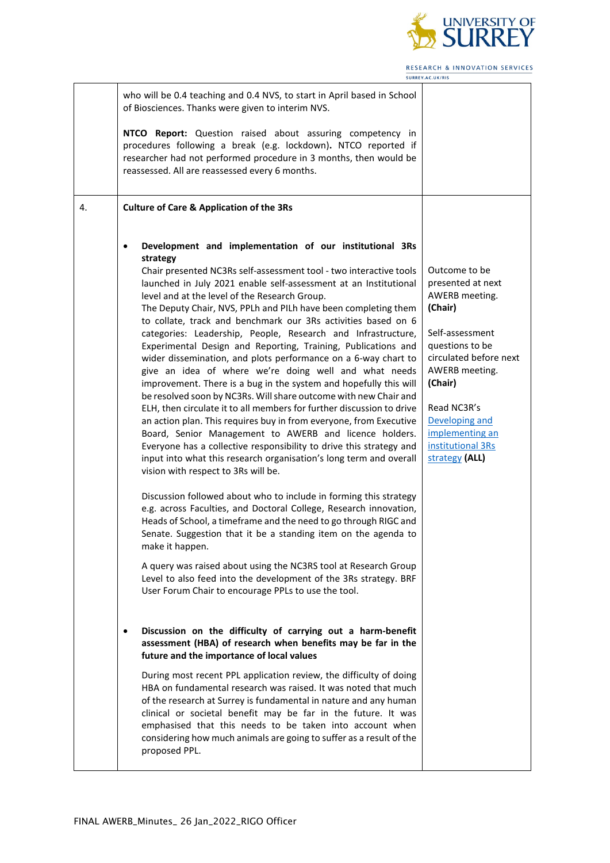

|    | who will be 0.4 teaching and 0.4 NVS, to start in April based in School<br>of Biosciences. Thanks were given to interim NVS.                                                                                                                                                                                                                                                                                                                                                                                                                                                                                                                                                                                                                                                                                                                                                                                                                                                                                                                                                                                                                                                                                                                                                                                                                                                                                                                                                                                                                                                                                                                                                                                                                                                                                                                                                     |                                                                                                                                                                                                                                                         |
|----|----------------------------------------------------------------------------------------------------------------------------------------------------------------------------------------------------------------------------------------------------------------------------------------------------------------------------------------------------------------------------------------------------------------------------------------------------------------------------------------------------------------------------------------------------------------------------------------------------------------------------------------------------------------------------------------------------------------------------------------------------------------------------------------------------------------------------------------------------------------------------------------------------------------------------------------------------------------------------------------------------------------------------------------------------------------------------------------------------------------------------------------------------------------------------------------------------------------------------------------------------------------------------------------------------------------------------------------------------------------------------------------------------------------------------------------------------------------------------------------------------------------------------------------------------------------------------------------------------------------------------------------------------------------------------------------------------------------------------------------------------------------------------------------------------------------------------------------------------------------------------------|---------------------------------------------------------------------------------------------------------------------------------------------------------------------------------------------------------------------------------------------------------|
|    | NTCO Report: Question raised about assuring competency in<br>procedures following a break (e.g. lockdown). NTCO reported if<br>researcher had not performed procedure in 3 months, then would be<br>reassessed. All are reassessed every 6 months.                                                                                                                                                                                                                                                                                                                                                                                                                                                                                                                                                                                                                                                                                                                                                                                                                                                                                                                                                                                                                                                                                                                                                                                                                                                                                                                                                                                                                                                                                                                                                                                                                               |                                                                                                                                                                                                                                                         |
| 4. | <b>Culture of Care &amp; Application of the 3Rs</b>                                                                                                                                                                                                                                                                                                                                                                                                                                                                                                                                                                                                                                                                                                                                                                                                                                                                                                                                                                                                                                                                                                                                                                                                                                                                                                                                                                                                                                                                                                                                                                                                                                                                                                                                                                                                                              |                                                                                                                                                                                                                                                         |
|    | Development and implementation of our institutional 3Rs<br>strategy<br>Chair presented NC3Rs self-assessment tool - two interactive tools<br>launched in July 2021 enable self-assessment at an Institutional<br>level and at the level of the Research Group.<br>The Deputy Chair, NVS, PPLh and PILh have been completing them<br>to collate, track and benchmark our 3Rs activities based on 6<br>categories: Leadership, People, Research and Infrastructure,<br>Experimental Design and Reporting, Training, Publications and<br>wider dissemination, and plots performance on a 6-way chart to<br>give an idea of where we're doing well and what needs<br>improvement. There is a bug in the system and hopefully this will<br>be resolved soon by NC3Rs. Will share outcome with new Chair and<br>ELH, then circulate it to all members for further discussion to drive<br>an action plan. This requires buy in from everyone, from Executive<br>Board, Senior Management to AWERB and licence holders.<br>Everyone has a collective responsibility to drive this strategy and<br>input into what this research organisation's long term and overall<br>vision with respect to 3Rs will be.<br>Discussion followed about who to include in forming this strategy<br>e.g. across Faculties, and Doctoral College, Research innovation,<br>Heads of School, a timeframe and the need to go through RIGC and<br>Senate. Suggestion that it be a standing item on the agenda to<br>make it happen.<br>A query was raised about using the NC3RS tool at Research Group<br>Level to also feed into the development of the 3Rs strategy. BRF<br>User Forum Chair to encourage PPLs to use the tool.<br>Discussion on the difficulty of carrying out a harm-benefit<br>assessment (HBA) of research when benefits may be far in the<br>future and the importance of local values | Outcome to be<br>presented at next<br>AWERB meeting.<br>(Chair)<br>Self-assessment<br>questions to be<br>circulated before next<br>AWERB meeting.<br>(Chair)<br>Read NC3R's<br>Developing and<br>implementing an<br>institutional 3Rs<br>strategy (ALL) |
|    | During most recent PPL application review, the difficulty of doing<br>HBA on fundamental research was raised. It was noted that much<br>of the research at Surrey is fundamental in nature and any human<br>clinical or societal benefit may be far in the future. It was<br>emphasised that this needs to be taken into account when<br>considering how much animals are going to suffer as a result of the<br>proposed PPL.                                                                                                                                                                                                                                                                                                                                                                                                                                                                                                                                                                                                                                                                                                                                                                                                                                                                                                                                                                                                                                                                                                                                                                                                                                                                                                                                                                                                                                                    |                                                                                                                                                                                                                                                         |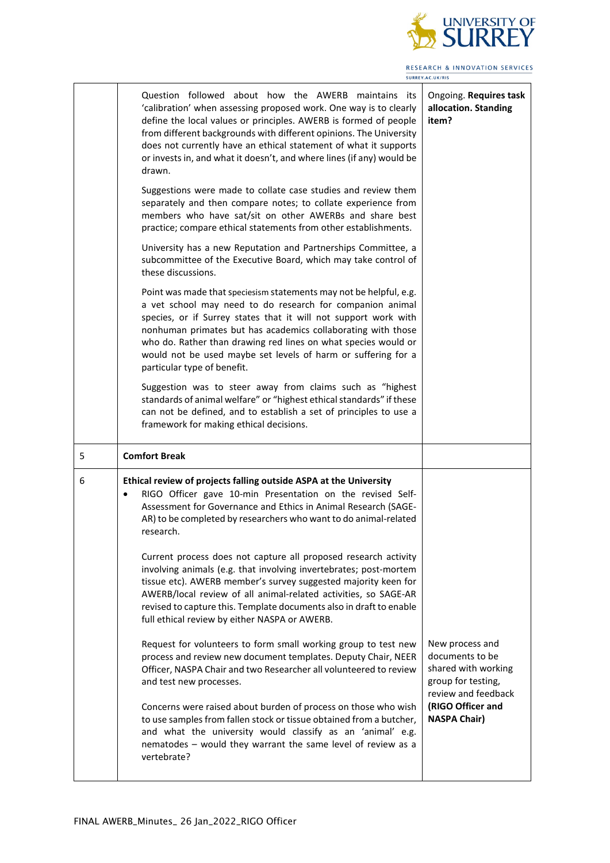

|   |                                                                                                                                                                                                                                                                                                                                                                                                                                                                                                                                                                                                                                                                                                                                                                                                                                                                                                                                                                                                                                                                                                                                                                                                                                                                                                                                                                                                                                                                                                                                                 | <b>RESEARCH &amp; INNOVATION SERVICES</b><br>SURREY.AC.UK/RIS                                                                                      |
|---|-------------------------------------------------------------------------------------------------------------------------------------------------------------------------------------------------------------------------------------------------------------------------------------------------------------------------------------------------------------------------------------------------------------------------------------------------------------------------------------------------------------------------------------------------------------------------------------------------------------------------------------------------------------------------------------------------------------------------------------------------------------------------------------------------------------------------------------------------------------------------------------------------------------------------------------------------------------------------------------------------------------------------------------------------------------------------------------------------------------------------------------------------------------------------------------------------------------------------------------------------------------------------------------------------------------------------------------------------------------------------------------------------------------------------------------------------------------------------------------------------------------------------------------------------|----------------------------------------------------------------------------------------------------------------------------------------------------|
|   | Question followed about how the AWERB maintains its<br>'calibration' when assessing proposed work. One way is to clearly<br>define the local values or principles. AWERB is formed of people<br>from different backgrounds with different opinions. The University<br>does not currently have an ethical statement of what it supports<br>or invests in, and what it doesn't, and where lines (if any) would be<br>drawn.<br>Suggestions were made to collate case studies and review them<br>separately and then compare notes; to collate experience from<br>members who have sat/sit on other AWERBs and share best<br>practice; compare ethical statements from other establishments.<br>University has a new Reputation and Partnerships Committee, a<br>subcommittee of the Executive Board, which may take control of<br>these discussions.<br>Point was made that speciesism statements may not be helpful, e.g.<br>a vet school may need to do research for companion animal<br>species, or if Surrey states that it will not support work with<br>nonhuman primates but has academics collaborating with those<br>who do. Rather than drawing red lines on what species would or<br>would not be used maybe set levels of harm or suffering for a<br>particular type of benefit.<br>Suggestion was to steer away from claims such as "highest<br>standards of animal welfare" or "highest ethical standards" if these<br>can not be defined, and to establish a set of principles to use a<br>framework for making ethical decisions. | Ongoing. Requires task<br>allocation. Standing<br>item?                                                                                            |
| 5 | <b>Comfort Break</b>                                                                                                                                                                                                                                                                                                                                                                                                                                                                                                                                                                                                                                                                                                                                                                                                                                                                                                                                                                                                                                                                                                                                                                                                                                                                                                                                                                                                                                                                                                                            |                                                                                                                                                    |
| 6 | Ethical review of projects falling outside ASPA at the University<br>RIGO Officer gave 10-min Presentation on the revised Self-<br>Assessment for Governance and Ethics in Animal Research (SAGE-<br>AR) to be completed by researchers who want to do animal-related<br>research.<br>Current process does not capture all proposed research activity<br>involving animals (e.g. that involving invertebrates; post-mortem<br>tissue etc). AWERB member's survey suggested majority keen for<br>AWERB/local review of all animal-related activities, so SAGE-AR<br>revised to capture this. Template documents also in draft to enable<br>full ethical review by either NASPA or AWERB.<br>Request for volunteers to form small working group to test new<br>process and review new document templates. Deputy Chair, NEER<br>Officer, NASPA Chair and two Researcher all volunteered to review<br>and test new processes.<br>Concerns were raised about burden of process on those who wish<br>to use samples from fallen stock or tissue obtained from a butcher,<br>and what the university would classify as an 'animal' e.g.<br>nematodes - would they warrant the same level of review as a<br>vertebrate?                                                                                                                                                                                                                                                                                                                                | New process and<br>documents to be<br>shared with working<br>group for testing,<br>review and feedback<br>(RIGO Officer and<br><b>NASPA Chair)</b> |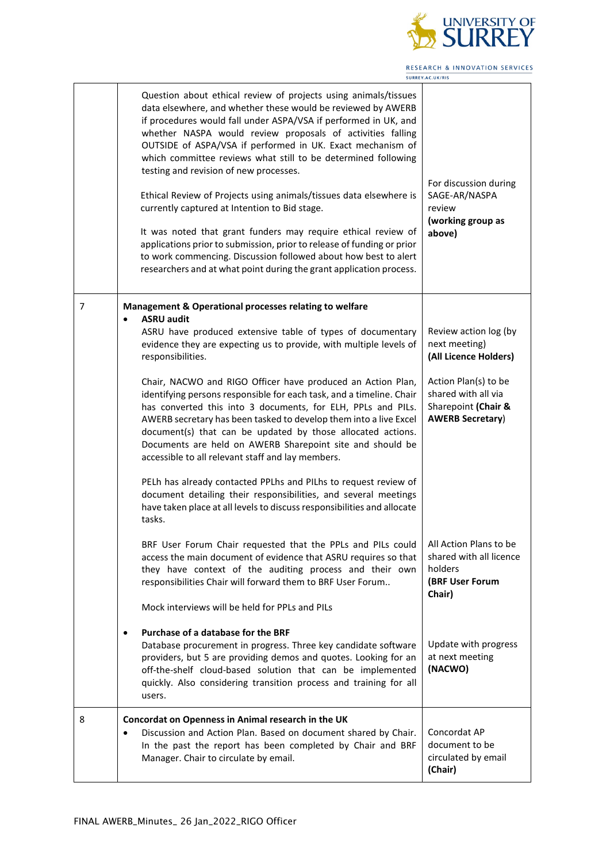

|   | Question about ethical review of projects using animals/tissues<br>data elsewhere, and whether these would be reviewed by AWERB<br>if procedures would fall under ASPA/VSA if performed in UK, and<br>whether NASPA would review proposals of activities falling<br>OUTSIDE of ASPA/VSA if performed in UK. Exact mechanism of<br>which committee reviews what still to be determined following<br>testing and revision of new processes.<br>Ethical Review of Projects using animals/tissues data elsewhere is<br>currently captured at Intention to Bid stage.<br>It was noted that grant funders may require ethical review of<br>applications prior to submission, prior to release of funding or prior<br>to work commencing. Discussion followed about how best to alert<br>researchers and at what point during the grant application process. | For discussion during<br>SAGE-AR/NASPA<br>review<br>(working group as<br>above)               |
|---|-------------------------------------------------------------------------------------------------------------------------------------------------------------------------------------------------------------------------------------------------------------------------------------------------------------------------------------------------------------------------------------------------------------------------------------------------------------------------------------------------------------------------------------------------------------------------------------------------------------------------------------------------------------------------------------------------------------------------------------------------------------------------------------------------------------------------------------------------------|-----------------------------------------------------------------------------------------------|
| 7 | Management & Operational processes relating to welfare<br><b>ASRU audit</b><br>ASRU have produced extensive table of types of documentary<br>evidence they are expecting us to provide, with multiple levels of<br>responsibilities.                                                                                                                                                                                                                                                                                                                                                                                                                                                                                                                                                                                                                  | Review action log (by<br>next meeting)<br>(All Licence Holders)                               |
|   | Chair, NACWO and RIGO Officer have produced an Action Plan,<br>identifying persons responsible for each task, and a timeline. Chair<br>has converted this into 3 documents, for ELH, PPLs and PILs.<br>AWERB secretary has been tasked to develop them into a live Excel<br>document(s) that can be updated by those allocated actions.<br>Documents are held on AWERB Sharepoint site and should be<br>accessible to all relevant staff and lay members.<br>PELh has already contacted PPLhs and PILhs to request review of<br>document detailing their responsibilities, and several meetings                                                                                                                                                                                                                                                       | Action Plan(s) to be<br>shared with all via<br>Sharepoint (Chair &<br><b>AWERB Secretary)</b> |
|   | have taken place at all levels to discuss responsibilities and allocate<br>tasks.<br>BRF User Forum Chair requested that the PPLs and PILs could   All Action Plans to be<br>access the main document of evidence that ASRU requires so that<br>they have context of the auditing process and their own<br>responsibilities Chair will forward them to BRF User Forum<br>Mock interviews will be held for PPLs and PILs                                                                                                                                                                                                                                                                                                                                                                                                                               | shared with all licence<br>holders<br>(BRF User Forum<br>Chair)                               |
|   | Purchase of a database for the BRF<br>٠<br>Database procurement in progress. Three key candidate software<br>providers, but 5 are providing demos and quotes. Looking for an<br>off-the-shelf cloud-based solution that can be implemented<br>quickly. Also considering transition process and training for all<br>users.                                                                                                                                                                                                                                                                                                                                                                                                                                                                                                                             | Update with progress<br>at next meeting<br>(NACWO)                                            |
| 8 | Concordat on Openness in Animal research in the UK<br>Discussion and Action Plan. Based on document shared by Chair.<br>In the past the report has been completed by Chair and BRF<br>Manager. Chair to circulate by email.                                                                                                                                                                                                                                                                                                                                                                                                                                                                                                                                                                                                                           | Concordat AP<br>document to be<br>circulated by email<br>(Chair)                              |